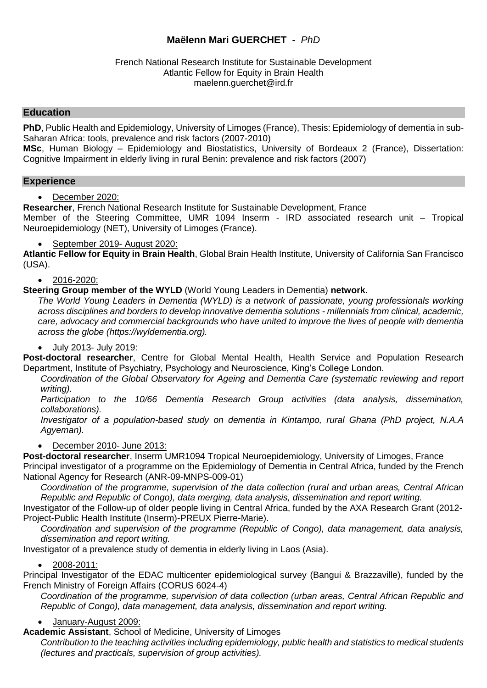# **Maëlenn Mari GUERCHET -** *PhD*

#### French National Research Institute for Sustainable Development Atlantic Fellow for Equity in Brain Health maelenn.guerchet@ird.fr

### **Education**

**PhD**, Public Health and Epidemiology, University of Limoges (France), Thesis: Epidemiology of dementia in sub-Saharan Africa: tools, prevalence and risk factors (2007-2010)

**MSc**, Human Biology – Epidemiology and Biostatistics, University of Bordeaux 2 (France), Dissertation: Cognitive Impairment in elderly living in rural Benin: prevalence and risk factors (2007)

#### **Experience**

December 2020:

**Researcher**, French National Research Institute for Sustainable Development, France Member of the Steering Committee, UMR 1094 Inserm - IRD associated research unit – Tropical Neuroepidemiology (NET), University of Limoges (France).

September 2019- August 2020:

**Atlantic Fellow for Equity in Brain Health**, Global Brain Health Institute, University of California San Francisco (USA).

#### 2016-2020:

#### **Steering Group member of the WYLD** (World Young Leaders in Dementia) **network**.

*The World Young Leaders in Dementia (WYLD) is a network of passionate, young professionals working across disciplines and borders to develop innovative dementia solutions - millennials from clinical, academic, care, advocacy and commercial backgrounds who have united to improve the lives of people with dementia across the globe [\(https://wyldementia.org\)](https://wyldementia.org/).*

#### July 2013- July 2019:

**Post-doctoral researcher**, Centre for Global Mental Health, Health Service and Population Research Department, Institute of Psychiatry, Psychology and Neuroscience, King's College London.

*Coordination of the Global Observatory for Ageing and Dementia Care (systematic reviewing and report writing).*

*Participation to the 10/66 Dementia Research Group activities (data analysis, dissemination, collaborations).*

*Investigator of a population-based study on dementia in Kintampo, rural Ghana (PhD project, N.A.A Agyeman).* 

#### December 2010- June 2013:

**Post-doctoral researcher**, Inserm UMR1094 Tropical Neuroepidemiology, University of Limoges, France Principal investigator of a programme on the Epidemiology of Dementia in Central Africa, funded by the French National Agency for Research (ANR-09-MNPS-009-01)

*Coordination of the programme, supervision of the data collection (rural and urban areas, Central African Republic and Republic of Congo), data merging, data analysis, dissemination and report writing.*

Investigator of the Follow-up of older people living in Central Africa, funded by the AXA Research Grant (2012- Project-Public Health Institute (Inserm)-PREUX Pierre-Marie).

*Coordination and supervision of the programme (Republic of Congo), data management, data analysis, dissemination and report writing.*

Investigator of a prevalence study of dementia in elderly living in Laos (Asia).

#### 2008-2011:

Principal Investigator of the EDAC multicenter epidemiological survey (Bangui & Brazzaville), funded by the French Ministry of Foreign Affairs (CORUS 6024-4)

*Coordination of the programme, supervision of data collection (urban areas, Central African Republic and Republic of Congo), data management, data analysis, dissemination and report writing.*

#### January-August 2009:

**Academic Assistant**, School of Medicine, University of Limoges

*Contribution to the teaching activities including epidemiology, public health and statistics to medical students (lectures and practicals, supervision of group activities).*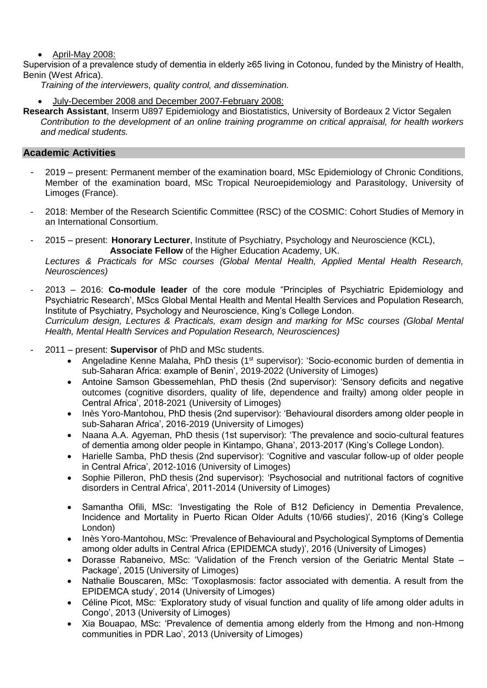April-May 2008:

Supervision of a prevalence study of dementia in elderly ≥65 living in Cotonou, funded by the Ministry of Health, Benin (West Africa).

*Training of the interviewers, quality control, and dissemination.*

- July-December 2008 and December 2007-February 2008:
- **Research Assistant**, Inserm U897 Epidemiology and Biostatistics, University of Bordeaux 2 Victor Segalen *Contribution to the development of an online training programme on critical appraisal, for health workers and medical students.*

## **Academic Activities**

- 2019 present: Permanent member of the examination board, MSc Epidemiology of Chronic Conditions, Member of the examination board, MSc Tropical Neuroepidemiology and Parasitology, University of Limoges (France).
- 2018: Member of the Research Scientific Committee (RSC) of the COSMIC: Cohort Studies of Memory in an International Consortium.
- 2015 present: **Honorary Lecturer**, Institute of Psychiatry, Psychology and Neuroscience (KCL), **Associate Fellow** of the Higher Education Academy, UK.

*Lectures & Practicals for MSc courses (Global Mental Health, Applied Mental Health Research, Neurosciences)* 

- 2013 2016: **Co-module leader** of the core module "Principles of Psychiatric Epidemiology and Psychiatric Research', MScs Global Mental Health and Mental Health Services and Population Research, Institute of Psychiatry, Psychology and Neuroscience, King's College London. *Curriculum design, Lectures & Practicals, exam design and marking for MSc courses (Global Mental Health, Mental Health Services and Population Research, Neurosciences)*
- 2011 present: **Supervisor** of PhD and MSc students.
	- Angeladine Kenne Malaha, PhD thesis (1<sup>st</sup> supervisor): 'Socio-economic burden of dementia in sub-Saharan Africa: example of Benin', 2019-2022 (University of Limoges)
	- Antoine Samson Gbessemehlan, PhD thesis (2nd supervisor): 'Sensory deficits and negative outcomes (cognitive disorders, quality of life, dependence and frailty) among older people in Central Africa', 2018-2021 (University of Limoges)
	- Inès Yoro-Mantohou, PhD thesis (2nd supervisor): 'Behavioural disorders among older people in sub-Saharan Africa', 2016-2019 (University of Limoges)
	- Naana A.A. Agyeman, PhD thesis (1st supervisor): 'The prevalence and socio-cultural features of dementia among older people in Kintampo, Ghana', 2013-2017 (King's College London).
	- Harielle Samba, PhD thesis (2nd supervisor): 'Cognitive and vascular follow-up of older people in Central Africa', 2012-1016 (University of Limoges)
	- Sophie Pilleron, PhD thesis (2nd supervisor): 'Psychosocial and nutritional factors of cognitive disorders in Central Africa', 2011-2014 (University of Limoges)
	- Samantha Ofili, MSc: 'Investigating the Role of B12 Deficiency in Dementia Prevalence, Incidence and Mortality in Puerto Rican Older Adults (10/66 studies)', 2016 (King's College London)
	- Inès Yoro-Mantohou, MSc: 'Prevalence of Behavioural and Psychological Symptoms of Dementia among older adults in Central Africa (EPIDEMCA study)', 2016 (University of Limoges)
	- Dorasse Rabaneivo, MSc: 'Validation of the French version of the Geriatric Mental State Package', 2015 (University of Limoges)
	- Nathalie Bouscaren, MSc: 'Toxoplasmosis: factor associated with dementia. A result from the EPIDEMCA study', 2014 (University of Limoges)
	- Céline Picot, MSc: 'Exploratory study of visual function and quality of life among older adults in Congo', 2013 (University of Limoges)
	- Xia Bouapao, MSc: 'Prevalence of dementia among elderly from the Hmong and non-Hmong communities in PDR Lao', 2013 (University of Limoges)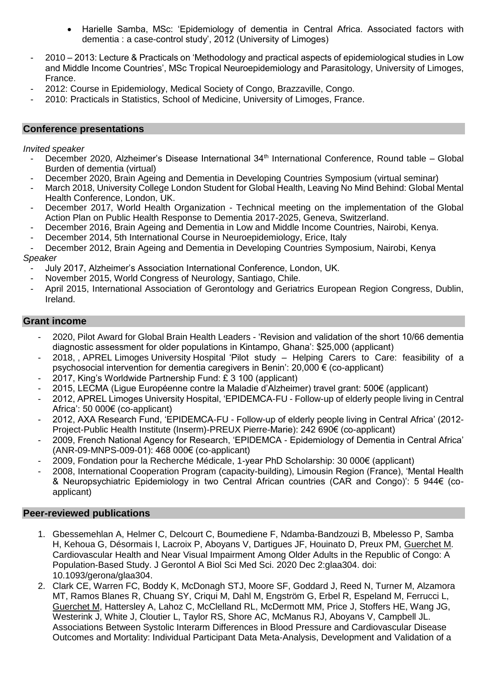- Harielle Samba, MSc: 'Epidemiology of dementia in Central Africa. Associated factors with dementia : a case-control study', 2012 (University of Limoges)
- 2010 2013: Lecture & Practicals on 'Methodology and practical aspects of epidemiological studies in Low and Middle Income Countries', MSc Tropical Neuroepidemiology and Parasitology, University of Limoges, France.
- 2012: Course in Epidemiology, Medical Society of Congo, Brazzaville, Congo.
- 2010: Practicals in Statistics, School of Medicine, University of Limoges, France.

#### **Conference presentations**

#### *Invited speaker*

- December 2020, Alzheimer's Disease International 34<sup>th</sup> International Conference, Round table Global Burden of dementia (virtual)
- December 2020, Brain Ageing and Dementia in Developing Countries Symposium (virtual seminar)
- March 2018, University College London Student for Global Health, Leaving No Mind Behind: Global Mental Health Conference, London, UK.
- December 2017, World Health Organization Technical meeting on the implementation of the Global Action Plan on Public Health Response to Dementia 2017-2025, Geneva, Switzerland.
- December 2016, Brain Ageing and Dementia in Low and Middle Income Countries, Nairobi, Kenya.
- December 2014, 5th International Course in Neuroepidemiology, Erice, Italy
- December 2012, Brain Ageing and Dementia in Developing Countries Symposium, Nairobi, Kenya *Speaker*
	- July 2017, Alzheimer's Association International Conference, London, UK.
	- November 2015, World Congress of Neurology, Santiago, Chile.
	- April 2015, International Association of Gerontology and Geriatrics European Region Congress, Dublin, Ireland.

## **Grant income**

- 2020, Pilot Award for Global Brain Health Leaders 'Revision and validation of the short 10/66 dementia diagnostic assessment for older populations in Kintampo, Ghana': \$25,000 (applicant)
- 2018, , APREL Limoges University Hospital 'Pilot study Helping Carers to Care: feasibility of a psychosocial intervention for dementia caregivers in Benin': 20,000 € (co-applicant)
- 2017, King's Worldwide Partnership Fund: £ 3 100 (applicant)
- 2015, LECMA (Ligue Européenne contre la Maladie d'Alzheimer) travel grant: 500€ (applicant)
- 2012, APREL Limoges University Hospital, 'EPIDEMCA-FU Follow-up of elderly people living in Central Africa': 50 000€ (co-applicant)
- 2012, AXA Research Fund, 'EPIDEMCA-FU Follow-up of elderly people living in Central Africa' (2012- Project-Public Health Institute (Inserm)-PREUX Pierre-Marie): 242 690€ (co-applicant)
- 2009, French National Agency for Research, 'EPIDEMCA Epidemiology of Dementia in Central Africa' (ANR-09-MNPS-009-01): 468 000€ (co-applicant)
- 2009, Fondation pour la Recherche Médicale, 1-year PhD Scholarship: 30 000€ (applicant)
- 2008, International Cooperation Program (capacity-building), Limousin Region (France), 'Mental Health & Neuropsychiatric Epidemiology in two Central African countries (CAR and Congo)': 5 944€ (coapplicant)

#### **Peer-reviewed publications**

- 1. Gbessemehlan A, Helmer C, Delcourt C, Boumediene F, Ndamba-Bandzouzi B, Mbelesso P, Samba H, Kehoua G, Désormais I, Lacroix P, Aboyans V, Dartigues JF, Houinato D, Preux PM, Guerchet M. Cardiovascular Health and Near Visual Impairment Among Older Adults in the Republic of Congo: A Population-Based Study. J Gerontol A Biol Sci Med Sci. 2020 Dec 2:glaa304. doi: 10.1093/gerona/glaa304.
- 2. Clark CE, Warren FC, Boddy K, McDonagh STJ, Moore SF, Goddard J, Reed N, Turner M, Alzamora MT, Ramos Blanes R, Chuang SY, Criqui M, Dahl M, Engström G, Erbel R, Espeland M, Ferrucci L, Guerchet M, Hattersley A, Lahoz C, McClelland RL, McDermott MM, Price J, Stoffers HE, Wang JG, Westerink J, White J, Cloutier L, Taylor RS, Shore AC, McManus RJ, Aboyans V, Campbell JL. Associations Between Systolic Interarm Differences in Blood Pressure and Cardiovascular Disease Outcomes and Mortality: Individual Participant Data Meta-Analysis, Development and Validation of a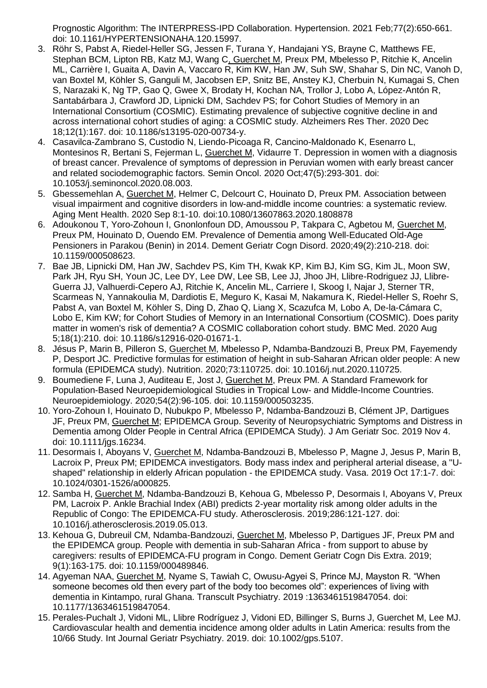Prognostic Algorithm: The INTERPRESS-IPD Collaboration. Hypertension. 2021 Feb;77(2):650-661. doi: 10.1161/HYPERTENSIONAHA.120.15997.

- 3. Röhr S, Pabst A, Riedel-Heller SG, Jessen F, Turana Y, Handajani YS, Brayne C, Matthews FE, Stephan BCM, Lipton RB, Katz MJ, Wang C, Guerchet M, Preux PM, Mbelesso P, Ritchie K, Ancelin ML, Carrière I, Guaita A, Davin A, Vaccaro R, Kim KW, Han JW, Suh SW, Shahar S, Din NC, Vanoh D, van Boxtel M, Köhler S, Ganguli M, Jacobsen EP, Snitz BE, Anstey KJ, Cherbuin N, Kumagai S, Chen S, Narazaki K, Ng TP, Gao Q, Gwee X, Brodaty H, Kochan NA, Trollor J, Lobo A, López-Antón R, Santabárbara J, Crawford JD, Lipnicki DM, Sachdev PS; for Cohort Studies of Memory in an International Consortium (COSMIC). Estimating prevalence of subjective cognitive decline in and across international cohort studies of aging: a COSMIC study. Alzheimers Res Ther. 2020 Dec 18;12(1):167. doi: 10.1186/s13195-020-00734-y.
- 4. Casavilca-Zambrano S, Custodio N, Liendo-Picoaga R, Cancino-Maldonado K, Esenarro L, Montesinos R, Bertani S, Fejerman L, Guerchet M, Vidaurre T. Depression in women with a diagnosis of breast cancer. Prevalence of symptoms of depression in Peruvian women with early breast cancer and related sociodemographic factors. Semin Oncol. 2020 Oct;47(5):293-301. doi: 10.1053/j.seminoncol.2020.08.003.
- 5. Gbessemehlan A, Guerchet M, Helmer C, Delcourt C, Houinato D, Preux PM. Association between visual impairment and cognitive disorders in low-and-middle income countries: a systematic review. Aging Ment Health. 2020 Sep 8:1-10. doi:10.1080/13607863.2020.1808878
- 6. Adoukonou T, Yoro-Zohoun I, Gnonlonfoun DD, Amoussou P, Takpara C, Agbetou M, Guerchet M, Preux PM, Houinato D, Ouendo EM. [Prevalence of Dementia among Well-Educated Old-Age](https://pubmed.ncbi.nlm.nih.gov/32799211/)  [Pensioners in Parakou \(Benin\) in 2014. D](https://pubmed.ncbi.nlm.nih.gov/32799211/)ement Geriatr Cogn Disord. 2020;49(2):210-218. doi: 10.1159/000508623.
- 7. Bae JB, Lipnicki DM, Han JW, Sachdev PS, Kim TH, Kwak KP, Kim BJ, Kim SG, Kim JL, Moon SW, Park JH, Ryu SH, Youn JC, Lee DY, Lee DW, Lee SB, Lee JJ, Jhoo JH, Llibre-Rodriguez JJ, Llibre-Guerra JJ, Valhuerdi-Cepero AJ, Ritchie K, Ancelin ML, Carriere I, Skoog I, Najar J, Sterner TR, Scarmeas N, Yannakoulia M, Dardiotis E, Meguro K, Kasai M, Nakamura K, Riedel-Heller S, Roehr S, Pabst A, van Boxtel M, Köhler S, Ding D, Zhao Q, Liang X, Scazufca M, Lobo A, De-la-Cámara C, Lobo E, Kim KW; for Cohort Studies of Memory in an International Consortium (COSMIC). Does parity matter in women's risk of dementia? A COSMIC collaboration cohort study. BMC Med. 2020 Aug 5;18(1):210. doi: 10.1186/s12916-020-01671-1.
- 8. Jésus P, Marin B, Pilleron S, Guerchet M, Mbelesso P, Ndamba-Bandzouzi B, Preux PM, Fayemendy P, Desport JC. Predictive formulas for estimation of height in sub-Saharan African older people: A new formula (EPIDEMCA study). Nutrition. 2020;73:110725. doi: 10.1016/j.nut.2020.110725.
- 9. Boumediene F, Luna J, Auditeau E, Jost J, Guerchet M, Preux PM. A Standard Framework for Population-Based Neuroepidemiological Studies in Tropical Low- and Middle-Income Countries. Neuroepidemiology. 2020;54(2):96-105. doi: 10.1159/000503235.
- 10. Yoro-Zohoun I, Houinato D, Nubukpo P, Mbelesso P, Ndamba-Bandzouzi B, Clément JP, Dartigues JF, Preux PM, Guerchet M; EPIDEMCA Group. Severity of Neuropsychiatric Symptoms and Distress in Dementia among Older People in Central Africa (EPIDEMCA Study). J Am Geriatr Soc. 2019 Nov 4. doi: 10.1111/jgs.16234.
- 11. Desormais I, Aboyans V, Guerchet M, Ndamba-Bandzouzi B, Mbelesso P, Magne J, Jesus P, Marin B, Lacroix P, Preux PM; EPIDEMCA investigators. Body mass index and peripheral arterial disease, a "Ushaped" relationship in elderly African population - the EPIDEMCA study. Vasa. 2019 Oct 17:1-7. doi: 10.1024/0301-1526/a000825.
- 12. Samba H, Guerchet M, Ndamba-Bandzouzi B, Kehoua G, Mbelesso P, Desormais I, Aboyans V, Preux PM, Lacroix P. Ankle Brachial Index (ABI) predicts 2-year mortality risk among older adults in the Republic of Congo: The EPIDEMCA-FU study. Atherosclerosis. 2019;286:121-127. doi: 10.1016/j.atherosclerosis.2019.05.013.
- 13. Kehoua G, Dubreuil CM, Ndamba-Bandzouzi, Guerchet M, Mbelesso P, Dartigues JF, Preux PM and the EPIDEMCA group. People with dementia in sub-Saharan Africa - from support to abuse by caregivers: results of EPIDEMCA-FU program in Congo. Dement Geriatr Cogn Dis Extra. 2019; 9(1):163-175. doi: 10.1159/000489846.
- 14. Agyeman NAA, Guerchet M, Nyame S, Tawiah C, Owusu-Agyei S, Prince MJ, Mayston R. "When someone becomes old then every part of the body too becomes old": experiences of living with dementia in Kintampo, rural Ghana. Transcult Psychiatry. 2019 :1363461519847054. doi: 10.1177/1363461519847054.
- 15. Perales-Puchalt J, Vidoni ML, Llibre Rodríguez J, Vidoni ED, Billinger S, Burns J, Guerchet M, Lee MJ. Cardiovascular health and dementia incidence among older adults in Latin America: results from the 10/66 Study. Int Journal Geriatr Psychiatry. 2019. doi: 10.1002/gps.5107.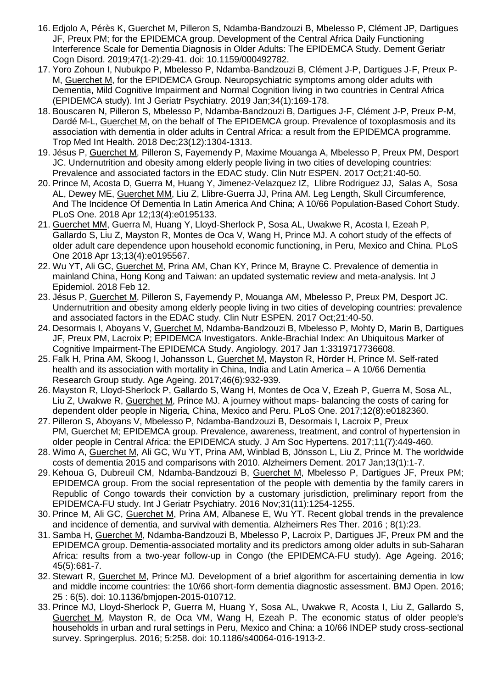- 16. Edjolo A, Pérès K, Guerchet M, Pilleron S, Ndamba-Bandzouzi B, Mbelesso P, Clément JP, Dartigues JF, Preux PM; for the EPIDEMCA group. Development of the Central Africa Daily Functioning Interference Scale for Dementia Diagnosis in Older Adults: The EPIDEMCA Study. Dement Geriatr Cogn Disord. 2019;47(1-2):29-41. doi: 10.1159/000492782.
- 17. Yoro Zohoun I, Nubukpo P, Mbelesso P, Ndamba-Bandzouzi B, Clément J-P, Dartigues J-F, Preux P-M, Guerchet M, for the EPIDEMCA Group. Neuropsychiatric symptoms among older adults with Dementia, Mild Cognitive Impairment and Normal Cognition living in two countries in Central Africa (EPIDEMCA study). Int J Geriatr Psychiatry. 2019 Jan;34(1):169-178.
- 18. Bouscaren N, Pilleron S, Mbelesso P, Ndamba-Bandzouzi B, Dartigues J-F, Clément J-P, Preux P-M, Dardé M-L, Guerchet M, on the behalf of The EPIDEMCA group. Prevalence of toxoplasmosis and its association with dementia in older adults in Central Africa: a result from the EPIDEMCA programme. Trop Med Int Health. 2018 Dec;23(12):1304-1313.
- 19. Jésus P, Guerchet M, Pilleron S, Fayemendy P, Maxime Mouanga A, Mbelesso P, Preux PM, Desport JC. Undernutrition and obesity among elderly people living in two cities of developing countries: Prevalence and associated factors in the EDAC study. Clin Nutr ESPEN. 2017 Oct;21:40-50.
- 20. Prince M, Acosta D, Guerra M, Huang Y, Jimenez-Velazquez IZ, Llibre Rodriguez JJ, Salas A, Sosa AL, Dewey ME, Guerchet MM, Liu Z, Llibre-Guerra JJ, Prina AM. [Leg Length, Skull Circumference,](https://www.biorxiv.org/content/early/2017/07/08/140129)  [And The Incidence Of Dementia In Latin America And China; A 10/66 Population-Based Cohort Study.](https://www.biorxiv.org/content/early/2017/07/08/140129) PLoS One. 2018 Apr 12;13(4):e0195133.
- 21. Guerchet MM, Guerra M, Huang Y, Lloyd-Sherlock P, Sosa AL, Uwakwe R, Acosta I, Ezeah P, Gallardo S, Liu Z, Mayston R, Montes de Oca V, Wang H, Prince MJ. A cohort study of the effects of older adult care dependence upon household economic functioning, in Peru, Mexico and China. PLoS One 2018 Apr 13;13(4):e0195567.
- 22. Wu YT, Ali GC, Guerchet M, Prina AM, Chan KY, Prince M, Brayne C. Prevalence of dementia in mainland China, Hong Kong and Taiwan: an updated systematic review and meta-analysis. Int J Epidemiol. 2018 Feb 12.
- 23. Jésus P, Guerchet M, Pilleron S, Fayemendy P, Mouanga AM, Mbelesso P, Preux PM, Desport JC. Undernutrition and obesity among elderly people living in two cities of developing countries: prevalence and associated factors in the EDAC study. Clin Nutr ESPEN. 2017 Oct;21:40-50.
- 24. Desormais I, Aboyans V, Guerchet M, Ndamba-Bandzouzi B, Mbelesso P, Mohty D, Marin B, Dartigues JF, Preux PM, Lacroix P; EPIDEMCA Investigators. [Ankle-Brachial Index: An Ubiquitous Marker of](https://www.ncbi.nlm.nih.gov/pubmed/29096531)  [Cognitive Impairment-The EPIDEMCA Study.](https://www.ncbi.nlm.nih.gov/pubmed/29096531) Angiology. 2017 Jan 1:3319717736608.
- 25. Falk H, Prina AM, Skoog I, Johansson L, Guerchet M, Mayston R, Hörder H, Prince M. Self-rated health and its association with mortality in China, India and Latin America – A 10/66 Dementia Research Group study. Age Ageing. 2017;46(6):932-939.
- 26. Mayston R, Lloyd-Sherlock P, Gallardo S, Wang H, Montes de Oca V, Ezeah P, Guerra M, Sosa AL, Liu Z, Uwakwe R, Guerchet M, Prince MJ. A journey without maps- balancing the costs of caring for dependent older people in Nigeria, China, Mexico and Peru. PLoS One. 2017;12(8):e0182360.
- 27. Pilleron S, Aboyans V, Mbelesso P, Ndamba-Bandzouzi B, Desormais I, Lacroix P, Preux PM, Guerchet M; EPIDEMCA group. Prevalence, awareness, treatment, and control of hypertension in older people in Central Africa: the EPIDEMCA study. J Am Soc Hypertens. 2017;11(7):449-460.
- 28. Wimo A, Guerchet M, Ali GC, Wu YT, Prina AM, Winblad B, Jönsson L, Liu Z, Prince M. The worldwide costs of dementia 2015 and comparisons with 2010. Alzheimers Dement. 2017 Jan;13(1):1-7.
- 29. Kehoua G, Dubreuil CM, Ndamba-Bandzouzi B, Guerchet M, Mbelesso P, Dartigues JF, Preux PM; EPIDEMCA group. From the social representation of the people with dementia by the family carers in Republic of Congo towards their conviction by a customary jurisdiction, preliminary report from the EPIDEMCA-FU study. Int J Geriatr Psychiatry. 2016 Nov;31(11):1254-1255.
- 30. Prince M, Ali GC, Guerchet M, Prina AM, Albanese E, Wu YT. Recent global trends in the prevalence and incidence of dementia, and survival with dementia. Alzheimers Res Ther. 2016 ; 8(1):23.
- 31. Samba H, Guerchet M, Ndamba-Bandzouzi B, Mbelesso P, Lacroix P, Dartigues JF, Preux PM and the EPIDEMCA group. Dementia-associated mortality and its predictors among older adults in sub-Saharan Africa: results from a two-year follow-up in Congo (the EPIDEMCA-FU study). Age Ageing. 2016; 45(5):681-7.
- 32. Stewart R, Guerchet M, Prince MJ. Development of a brief algorithm for ascertaining dementia in low and middle income countries: the 10/66 short-form dementia diagnostic assessment. BMJ Open. 2016; 25 : 6(5). doi: 10.1136/bmjopen-2015-010712.
- 33. Prince MJ, Lloyd-Sherlock P, Guerra M, Huang Y, Sosa AL, Uwakwe R, Acosta I, Liu Z, Gallardo S, Guerchet M, Mayston R, de Oca VM, Wang H, Ezeah P. The economic status of older people's households in urban and rural settings in Peru, Mexico and China: a 10/66 INDEP study cross-sectional survey. Springerplus. 2016; 5:258. doi: 10.1186/s40064-016-1913-2.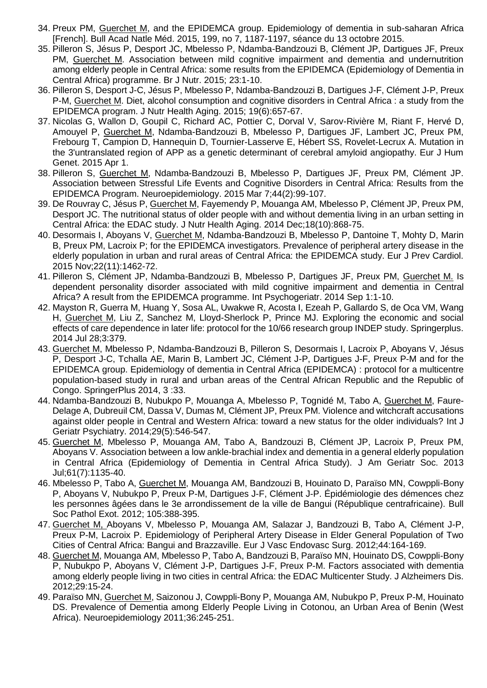- 34. Preux PM, Guerchet M, and the EPIDEMCA group. Epidemiology of dementia in sub-saharan Africa [French]. Bull Acad Natle Méd. 2015, 199, no 7, 1187-1197, séance du 13 octobre 2015.
- 35. Pilleron S, Jésus P, Desport JC, Mbelesso P, Ndamba-Bandzouzi B, Clément JP, Dartigues JF, Preux PM, Guerchet M. Association between mild cognitive impairment and dementia and undernutrition among elderly people in Central Africa: some results from the EPIDEMCA (Epidemiology of Dementia in Central Africa) programme. Br J Nutr. 2015; 23:1-10.
- 36. Pilleron S, Desport J-C, Jésus P, Mbelesso P, Ndamba-Bandzouzi B, Dartigues J-F, Clément J-P, Preux P-M, Guerchet M. Diet, alcohol consumption and cognitive disorders in Central Africa : a study from the EPIDEMCA program. J Nutr Health Aging. 2015; 19(6):657-67.
- 37. Nicolas G, Wallon D, Goupil C, Richard AC, Pottier C, Dorval V, Sarov-Rivière M, Riant F, Hervé D, Amouyel P, Guerchet M, Ndamba-Bandzouzi B, Mbelesso P, Dartigues JF, Lambert JC, Preux PM, Frebourg T, Campion D, Hannequin D, Tournier-Lasserve E, Hébert SS, Rovelet-Lecrux A. Mutation in the 3'untranslated region of APP as a genetic determinant of cerebral amyloid angiopathy. Eur J Hum Genet. 2015 Apr 1.
- 38. Pilleron S, Guerchet M, Ndamba-Bandzouzi B, Mbelesso P, Dartigues JF, Preux PM, Clément JP. Association between Stressful Life Events and Cognitive Disorders in Central Africa: Results from the EPIDEMCA Program. Neuroepidemiology. 2015 Mar 7;44(2):99-107.
- 39. De Rouvray C, Jésus P, Guerchet M, Fayemendy P, Mouanga AM, Mbelesso P, Clément JP, Preux PM, Desport JC. The nutritional status of older people with and without dementia living in an urban setting in Central Africa: the EDAC study. J Nutr Health Aging. 2014 Dec;18(10):868-75.
- 40. Desormais I, Aboyans V, Guerchet M, Ndamba-Bandzouzi B, Mbelesso P, Dantoine T, Mohty D, Marin B, Preux PM, Lacroix P; for the EPIDEMCA investigators. Prevalence of peripheral artery disease in the elderly population in urban and rural areas of Central Africa: the EPIDEMCA study. Eur J Prev Cardiol. 2015 Nov;22(11):1462-72.
- 41. Pilleron S, Clément JP, Ndamba-Bandzouzi B, Mbelesso P, Dartigues JF, Preux PM, Guerchet M. Is dependent personality disorder associated with mild cognitive impairment and dementia in Central Africa? A result from the EPIDEMCA programme. Int Psychogeriatr. 2014 Sep 1:1-10.
- 42. Mayston R, Guerra M, Huang Y, Sosa AL, Uwakwe R, Acosta I, Ezeah P, Gallardo S, de Oca VM, Wang H, Guerchet M, Liu Z, Sanchez M, Lloyd-Sherlock P, Prince MJ. Exploring the economic and social effects of care dependence in later life: protocol for the 10/66 research group INDEP study. Springerplus. 2014 Jul 28;3:379.
- 43. Guerchet M, Mbelesso P, Ndamba-Bandzouzi B, Pilleron S, Desormais I, Lacroix P, Aboyans V, Jésus P, Desport J-C, Tchalla AE, Marin B, Lambert JC, Clément J-P, Dartigues J-F, Preux P-M and for the EPIDEMCA group. Epidemiology of dementia in Central Africa (EPIDEMCA) : protocol for a multicentre population-based study in rural and urban areas of the Central African Republic and the Republic of Congo. SpringerPlus 2014, 3 :33.
- 44. Ndamba-Bandzouzi B, Nubukpo P, Mouanga A, Mbelesso P, Tognidé M, Tabo A, Guerchet M, Faure-Delage A, Dubreuil CM, Dassa V, Dumas M, Clément JP, Preux PM. [Violence and witchcraft accusations](http://www.ncbi.nlm.nih.gov/pubmed/24706606)  [against older people in Central and Western Africa: toward a new status for the older individuals?](http://www.ncbi.nlm.nih.gov/pubmed/24706606) Int J Geriatr Psychiatry. 2014;29(5):546-547.
- 45. Guerchet M, Mbelesso P, Mouanga AM, Tabo A, Bandzouzi B, Clément JP, Lacroix P, Preux PM, Aboyans V[. Association between a low ankle-brachial index and dementia in a general elderly population](http://www.ncbi.nlm.nih.gov/pubmed/23730955)  [in Central Africa \(Epidemiology of Dementia in Central Africa Study\).](http://www.ncbi.nlm.nih.gov/pubmed/23730955) J Am Geriatr Soc. 2013 Jul;61(7):1135-40.
- 46. Mbelesso P, Tabo A, Guerchet M, Mouanga AM, Bandzouzi B, Houinato D, Paraïso MN, Cowppli-Bony P, Aboyans V, Nubukpo P, Preux P-M, Dartigues J-F, Clément J-P. Épidémiologie des démences chez les personnes âgées dans le 3e arrondissement de la ville de Bangui (République centrafricaine). Bull Soc Pathol Exot. 2012; 105:388-395.
- 47. Guerchet M, Aboyans V, Mbelesso P, Mouanga AM, Salazar J, Bandzouzi B, Tabo A, Clément J-P, Preux P-M, Lacroix P. Epidemiology of Peripheral Artery Disease in Elder General Population of Two Cities of Central Africa: Bangui and Brazzaville. Eur J Vasc Endovasc Surg. 2012;44:164-169.
- 48. Guerchet M, Mouanga AM, Mbelesso P, Tabo A, Bandzouzi B, Paraïso MN, Houinato DS, Cowppli-Bony P, Nubukpo P, Aboyans V, Clément J-P, Dartigues J-F, Preux P-M. Factors associated with dementia among elderly people living in two cities in central Africa: the EDAC Multicenter Study. J Alzheimers Dis. 2012;29:15-24.
- 49. Paraïso MN, Guerchet M, Saizonou J, Cowppli-Bony P, Mouanga AM, Nubukpo P, Preux P-M, Houinato DS. Prevalence of Dementia among Elderly People Living in Cotonou, an Urban Area of Benin (West Africa). Neuroepidemiology 2011;36:245-251.